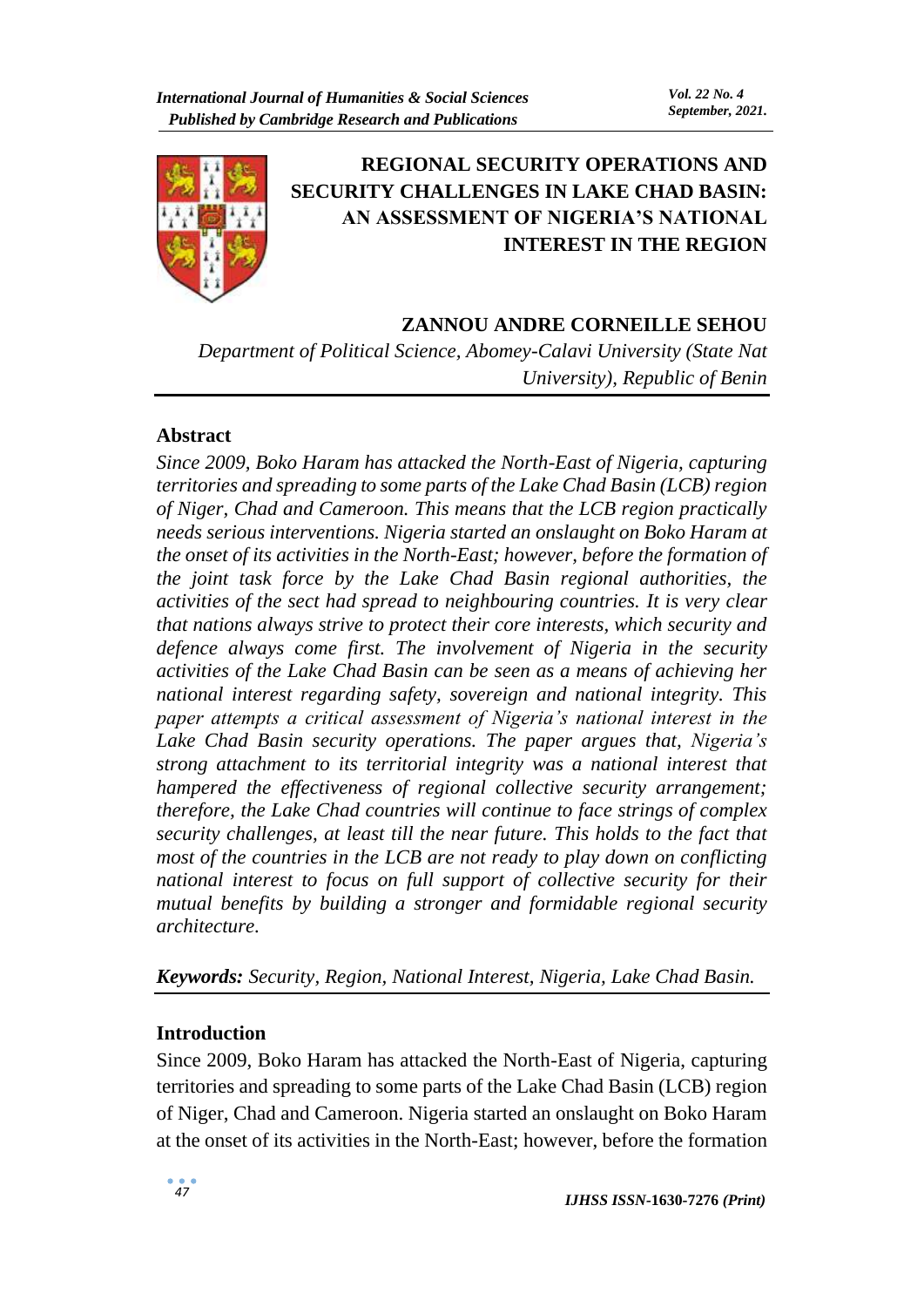

# **REGIONAL SECURITY OPERATIONS AND SECURITY CHALLENGES IN LAKE CHAD BASIN: AN ASSESSMENT OF NIGERIA'S NATIONAL INTEREST IN THE REGION**

# **ZANNOU ANDRE CORNEILLE SEHOU**

*Department of Political Science, Abomey-Calavi University (State Nat University), Republic of Benin*

# **Abstract**

*Since 2009, Boko Haram has attacked the North-East of Nigeria, capturing territories and spreading to some parts of the Lake Chad Basin (LCB) region of Niger, Chad and Cameroon. This means that the LCB region practically needs serious interventions. Nigeria started an onslaught on Boko Haram at the onset of its activities in the North-East; however, before the formation of the joint task force by the Lake Chad Basin regional authorities, the activities of the sect had spread to neighbouring countries. It is very clear that nations always strive to protect their core interests, which security and defence always come first. The involvement of Nigeria in the security activities of the Lake Chad Basin can be seen as a means of achieving her national interest regarding safety, sovereign and national integrity. This paper attempts a critical assessment of Nigeria's national interest in the Lake Chad Basin security operations. The paper argues that, Nigeria's strong attachment to its territorial integrity was a national interest that hampered the effectiveness of regional collective security arrangement; therefore, the Lake Chad countries will continue to face strings of complex security challenges, at least till the near future. This holds to the fact that most of the countries in the LCB are not ready to play down on conflicting national interest to focus on full support of collective security for their mutual benefits by building a stronger and formidable regional security architecture.*

*Keywords: Security, Region, National Interest, Nigeria, Lake Chad Basin.*

# **Introduction**

Since 2009, Boko Haram has attacked the North-East of Nigeria, capturing territories and spreading to some parts of the Lake Chad Basin (LCB) region of Niger, Chad and Cameroon. Nigeria started an onslaught on Boko Haram at the onset of its activities in the North-East; however, before the formation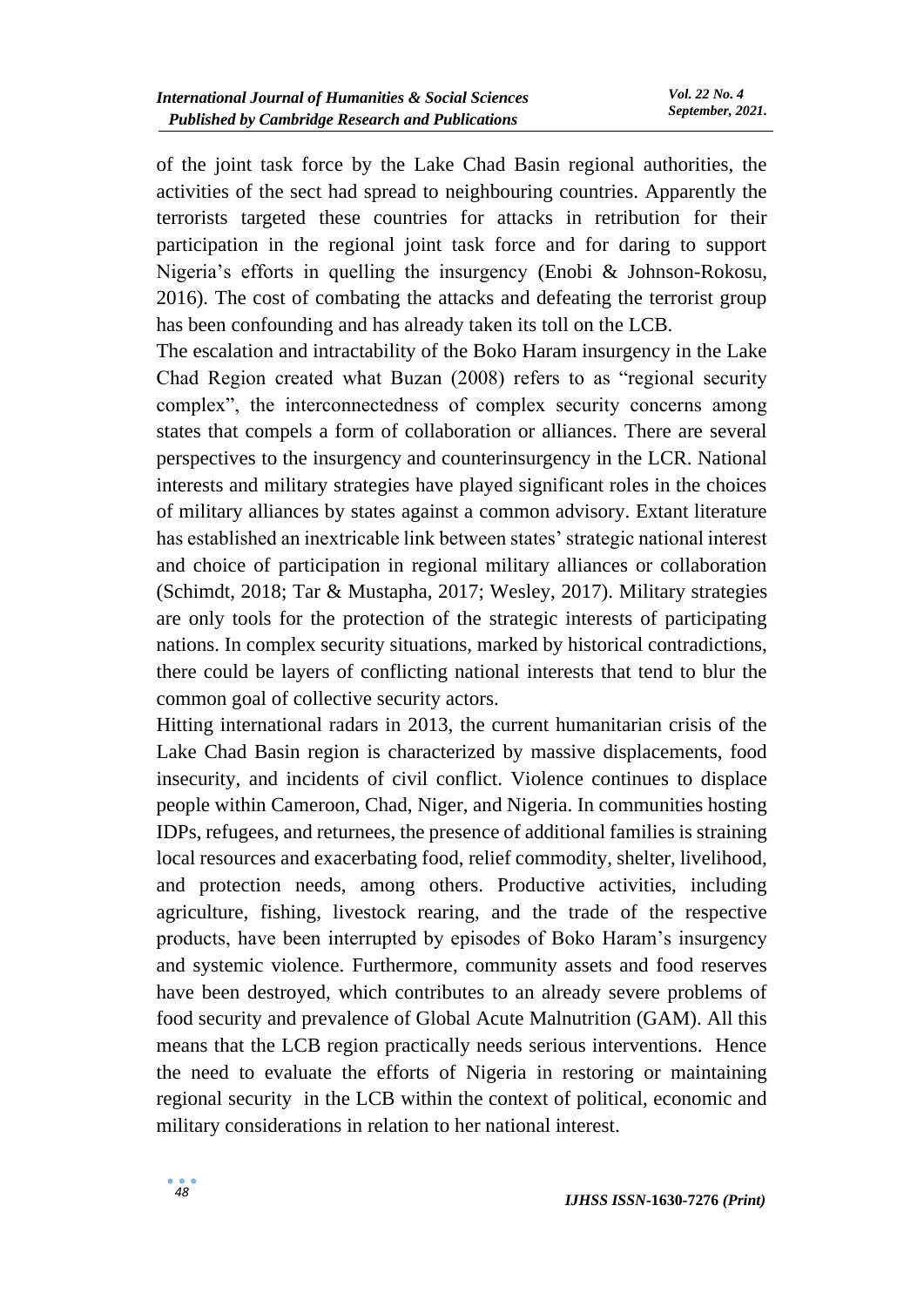of the joint task force by the Lake Chad Basin regional authorities, the activities of the sect had spread to neighbouring countries. Apparently the terrorists targeted these countries for attacks in retribution for their participation in the regional joint task force and for daring to support Nigeria's efforts in quelling the insurgency (Enobi & Johnson-Rokosu, 2016). The cost of combating the attacks and defeating the terrorist group has been confounding and has already taken its toll on the LCB.

The escalation and intractability of the Boko Haram insurgency in the Lake Chad Region created what Buzan (2008) refers to as "regional security complex", the interconnectedness of complex security concerns among states that compels a form of collaboration or alliances. There are several perspectives to the insurgency and counterinsurgency in the LCR. National interests and military strategies have played significant roles in the choices of military alliances by states against a common advisory. Extant literature has established an inextricable link between states' strategic national interest and choice of participation in regional military alliances or collaboration (Schimdt, 2018; Tar & Mustapha, 2017; Wesley, 2017). Military strategies are only tools for the protection of the strategic interests of participating nations. In complex security situations, marked by historical contradictions, there could be layers of conflicting national interests that tend to blur the common goal of collective security actors.

Hitting international radars in 2013, the current humanitarian crisis of the Lake Chad Basin region is characterized by massive displacements, food insecurity, and incidents of civil conflict. Violence continues to displace people within Cameroon, Chad, Niger, and Nigeria. In communities hosting IDPs, refugees, and returnees, the presence of additional families is straining local resources and exacerbating food, relief commodity, shelter, livelihood, and protection needs, among others. Productive activities, including agriculture, fishing, livestock rearing, and the trade of the respective products, have been interrupted by episodes of Boko Haram's insurgency and systemic violence. Furthermore, community assets and food reserves have been destroyed, which contributes to an already severe problems of food security and prevalence of Global Acute Malnutrition (GAM). All this means that the LCB region practically needs serious interventions. Hence the need to evaluate the efforts of Nigeria in restoring or maintaining regional security in the LCB within the context of political, economic and military considerations in relation to her national interest.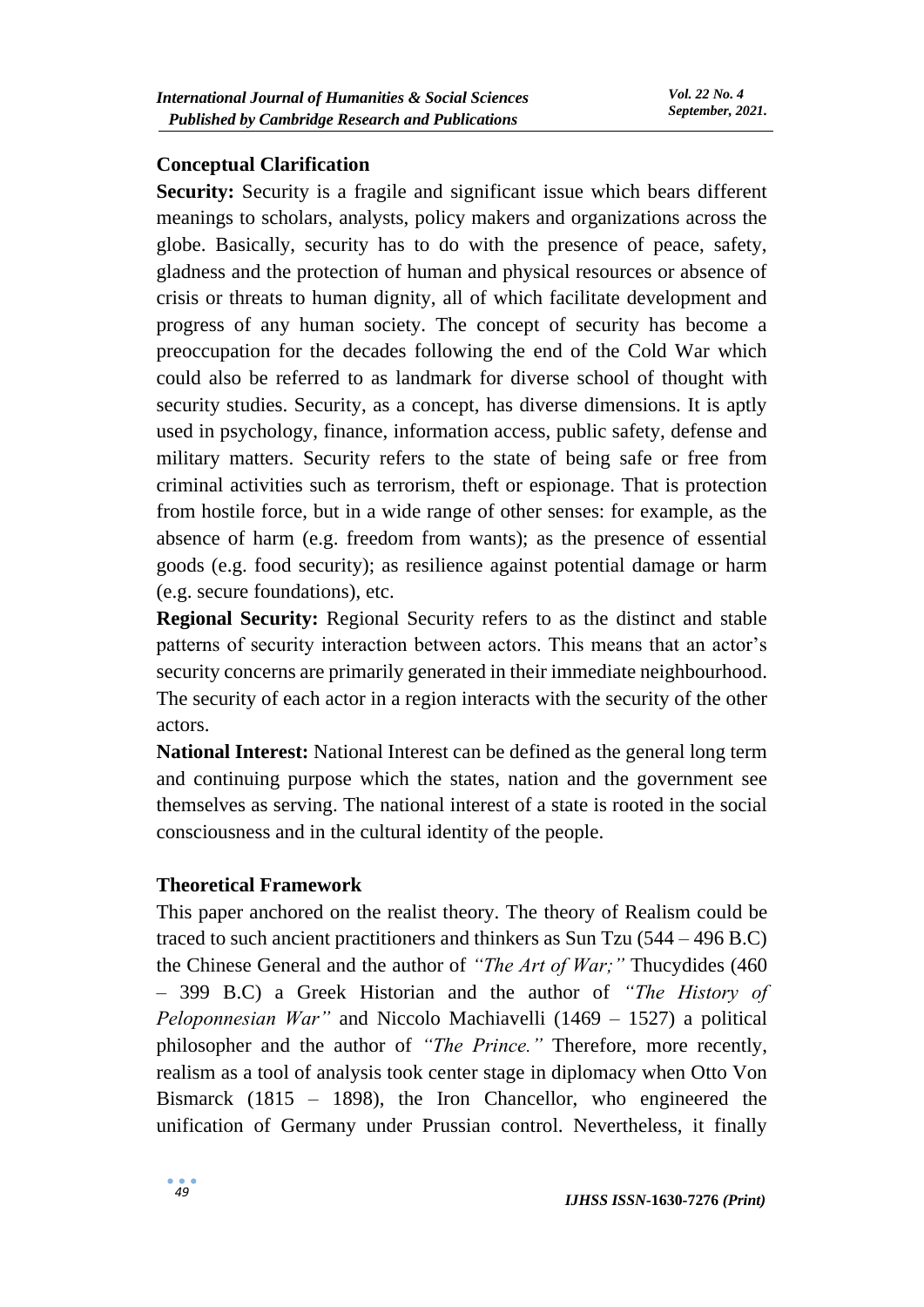### **Conceptual Clarification**

**Security:** Security is a fragile and significant issue which bears different meanings to scholars, analysts, policy makers and organizations across the globe. Basically, security has to do with the presence of peace, safety, gladness and the protection of human and physical resources or absence of crisis or threats to human dignity, all of which facilitate development and progress of any human society. The concept of security has become a preoccupation for the decades following the end of the Cold War which could also be referred to as landmark for diverse school of thought with security studies. Security, as a concept, has diverse dimensions. It is aptly used in psychology, finance, information access, public safety, defense and military matters. Security refers to the state of being safe or free from criminal activities such as terrorism, theft or espionage. That is protection from hostile force, but in a wide range of other senses: for example, as the absence of harm (e.g. freedom from wants); as the presence of essential goods (e.g. food security); as resilience against potential damage or harm (e.g. secure foundations), etc.

**Regional Security:** Regional Security refers to as the distinct and stable patterns of security interaction between actors. This means that an actor's security concerns are primarily generated in their immediate neighbourhood. The security of each actor in a region interacts with the security of the other actors.

**National Interest:** National Interest can be defined as the general long term and continuing purpose which the states, nation and the government see themselves as serving. The national interest of a state is rooted in the social consciousness and in the cultural identity of the people.

### **Theoretical Framework**

This paper anchored on the realist theory. The theory of Realism could be traced to such ancient practitioners and thinkers as Sun Tzu (544 – 496 B.C) the Chinese General and the author of *"The Art of War;"* Thucydides (460 – 399 B.C) a Greek Historian and the author of *"The History of Peloponnesian War"* and Niccolo Machiavelli (1469 – 1527) a political philosopher and the author of *"The Prince."* Therefore, more recently, realism as a tool of analysis took center stage in diplomacy when Otto Von Bismarck (1815 – 1898), the Iron Chancellor, who engineered the unification of Germany under Prussian control. Nevertheless, it finally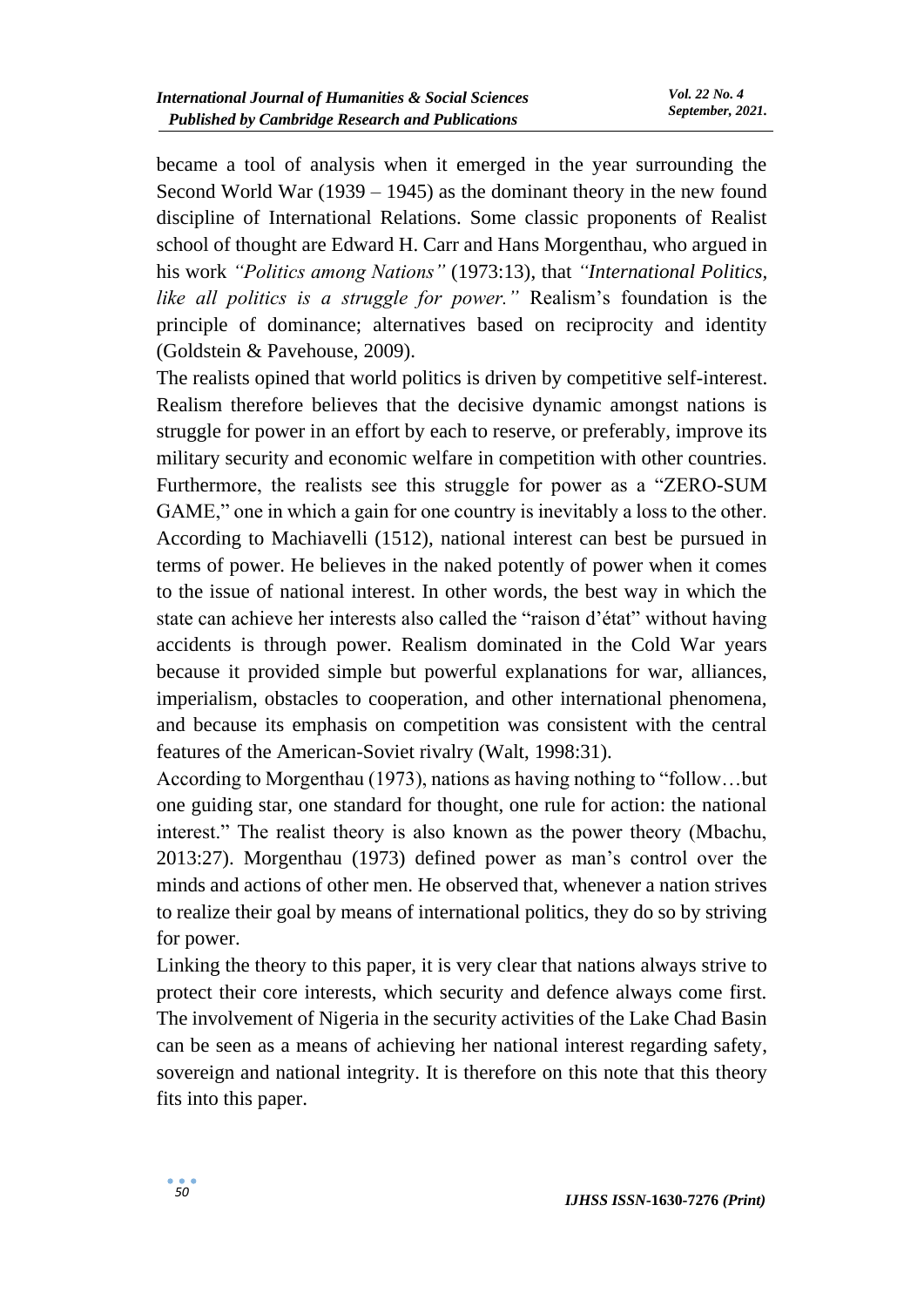became a tool of analysis when it emerged in the year surrounding the Second World War (1939 – 1945) as the dominant theory in the new found discipline of International Relations. Some classic proponents of Realist school of thought are Edward H. Carr and Hans Morgenthau, who argued in his work *"Politics among Nations"* (1973:13), that *"International Politics, like all politics is a struggle for power."* Realism's foundation is the principle of dominance; alternatives based on reciprocity and identity (Goldstein & Pavehouse, 2009).

The realists opined that world politics is driven by competitive self-interest. Realism therefore believes that the decisive dynamic amongst nations is struggle for power in an effort by each to reserve, or preferably, improve its military security and economic welfare in competition with other countries. Furthermore, the realists see this struggle for power as a "ZERO-SUM GAME," one in which a gain for one country is inevitably a loss to the other. According to Machiavelli (1512), national interest can best be pursued in terms of power. He believes in the naked potently of power when it comes to the issue of national interest. In other words, the best way in which the state can achieve her interests also called the "raison d'état" without having accidents is through power. Realism dominated in the Cold War years because it provided simple but powerful explanations for war, alliances, imperialism, obstacles to cooperation, and other international phenomena, and because its emphasis on competition was consistent with the central features of the American-Soviet rivalry (Walt, 1998:31).

According to Morgenthau (1973), nations as having nothing to "follow…but one guiding star, one standard for thought, one rule for action: the national interest." The realist theory is also known as the power theory (Mbachu, 2013:27). Morgenthau (1973) defined power as man's control over the minds and actions of other men. He observed that, whenever a nation strives to realize their goal by means of international politics, they do so by striving for power.

Linking the theory to this paper, it is very clear that nations always strive to protect their core interests, which security and defence always come first. The involvement of Nigeria in the security activities of the Lake Chad Basin can be seen as a means of achieving her national interest regarding safety, sovereign and national integrity. It is therefore on this note that this theory fits into this paper.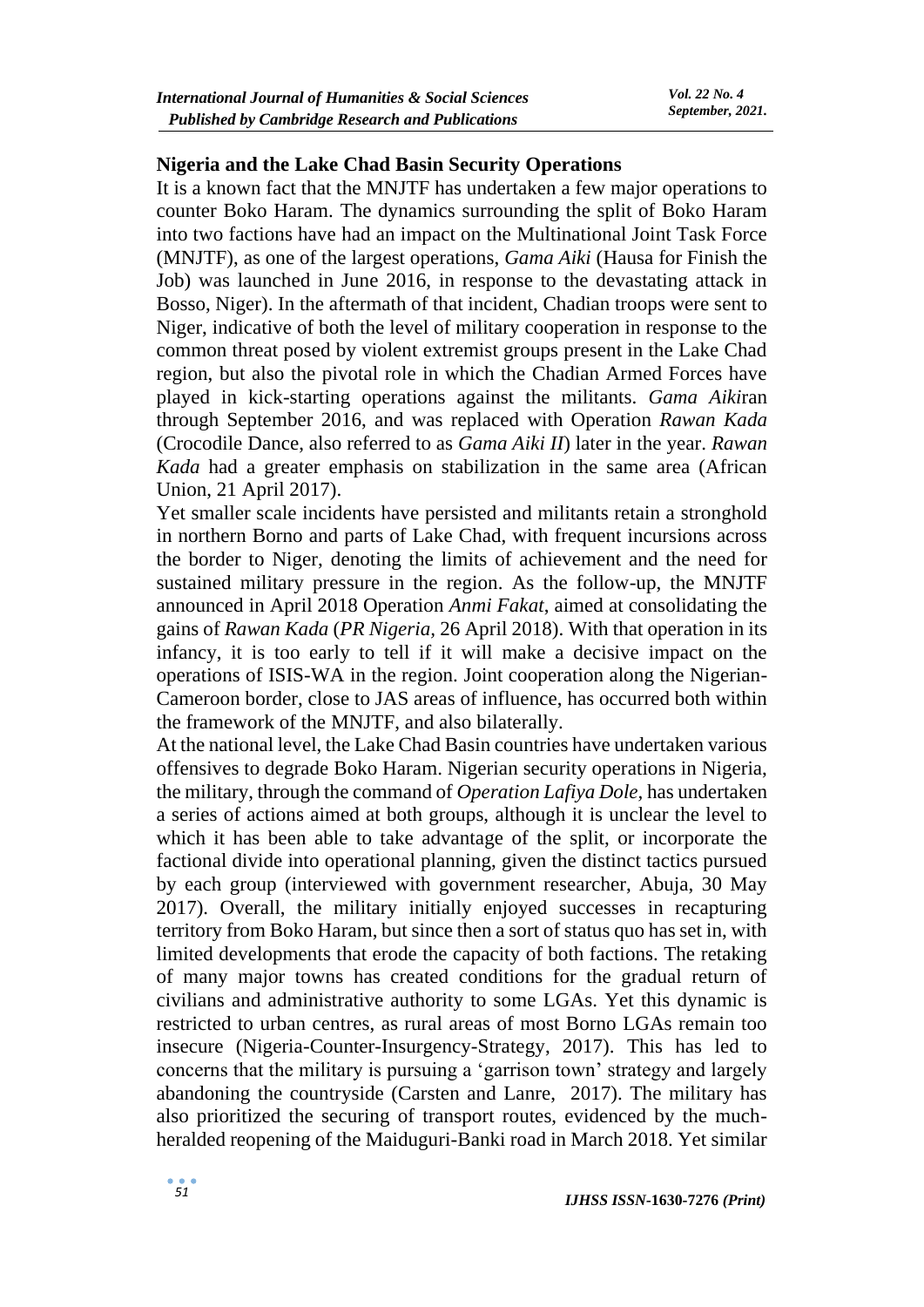#### **Nigeria and the Lake Chad Basin Security Operations**

It is a known fact that the MNJTF has undertaken a few major operations to counter Boko Haram. The dynamics surrounding the split of Boko Haram into two factions have had an impact on the Multinational Joint Task Force (MNJTF), as one of the largest operations, *Gama Aiki* (Hausa for Finish the Job) was launched in June 2016, in response to the devastating attack in Bosso, Niger). In the aftermath of that incident, Chadian troops were sent to Niger, indicative of both the level of military cooperation in response to the common threat posed by violent extremist groups present in the Lake Chad region, but also the pivotal role in which the Chadian Armed Forces have played in kick-starting operations against the militants. *Gama Aiki*ran through September 2016, and was replaced with Operation *Rawan Kada*  (Crocodile Dance, also referred to as *Gama Aiki II*) later in the year. *Rawan Kada* had a greater emphasis on stabilization in the same area (African Union, 21 April 2017).

Yet smaller scale incidents have persisted and militants retain a stronghold in northern Borno and parts of Lake Chad, with frequent incursions across the border to Niger, denoting the limits of achievement and the need for sustained military pressure in the region. As the follow-up, the MNJTF announced in April 2018 Operation *Anmi Fakat*, aimed at consolidating the gains of *Rawan Kada* (*PR Nigeria,* 26 April 2018). With that operation in its infancy, it is too early to tell if it will make a decisive impact on the operations of ISIS-WA in the region. Joint cooperation along the Nigerian-Cameroon border, close to JAS areas of influence, has occurred both within the framework of the MNJTF, and also bilaterally.

At the national level, the Lake Chad Basin countries have undertaken various offensives to degrade Boko Haram. Nigerian security operations in Nigeria, the military, through the command of *Operation Lafiya Dole,* has undertaken a series of actions aimed at both groups, although it is unclear the level to which it has been able to take advantage of the split, or incorporate the factional divide into operational planning, given the distinct tactics pursued by each group (interviewed with government researcher, Abuja, 30 May 2017). Overall, the military initially enjoyed successes in recapturing territory from Boko Haram, but since then a sort of status quo has set in, with limited developments that erode the capacity of both factions. The retaking of many major towns has created conditions for the gradual return of civilians and administrative authority to some LGAs. Yet this dynamic is restricted to urban centres, as rural areas of most Borno LGAs remain too insecure (Nigeria-Counter-Insurgency-Strategy, 2017). This has led to concerns that the military is pursuing a 'garrison town' strategy and largely abandoning the countryside (Carsten and Lanre, 2017). The military has also prioritized the securing of transport routes, evidenced by the muchheralded reopening of the Maiduguri-Banki road in March 2018. Yet similar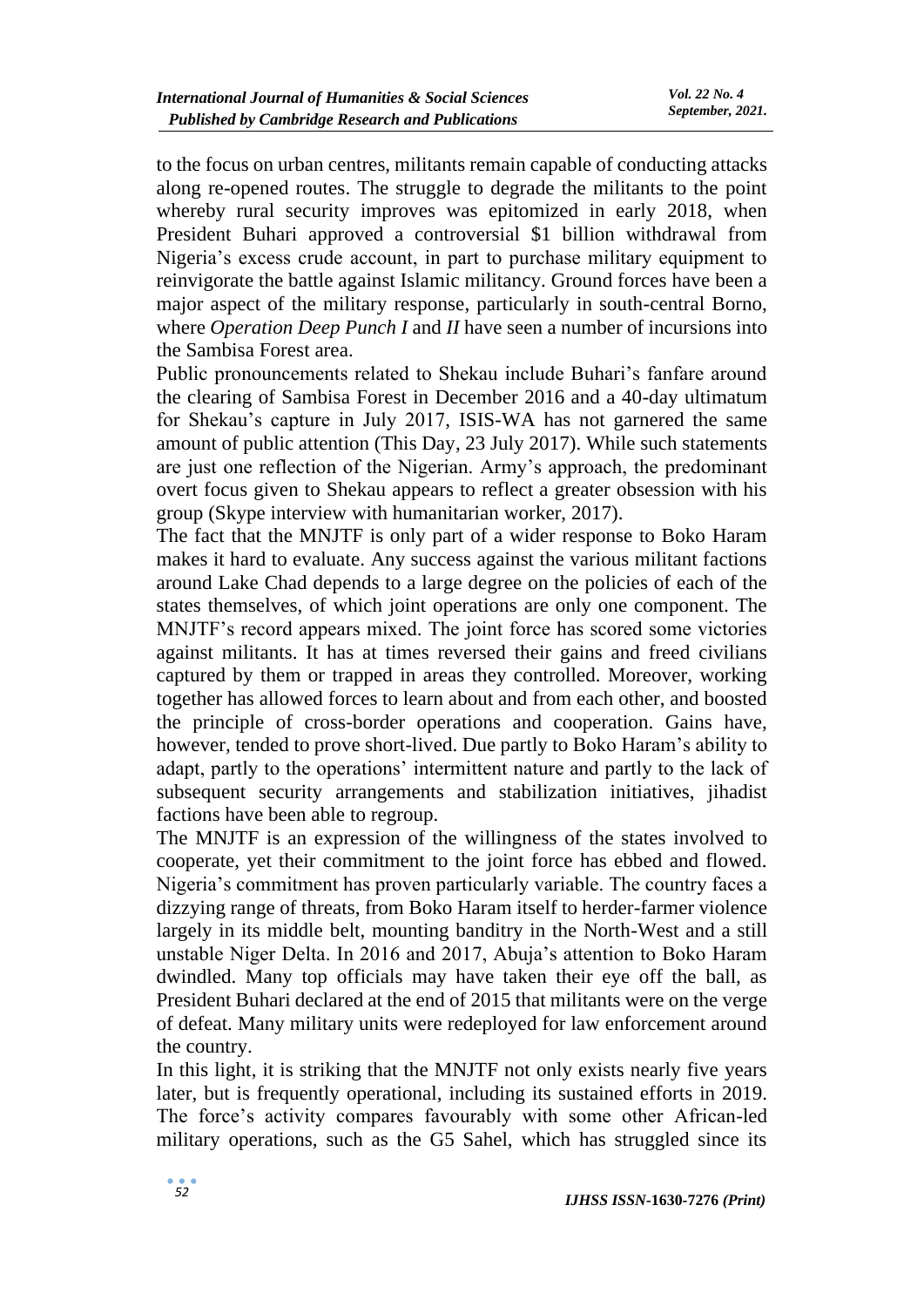to the focus on urban centres, militants remain capable of conducting attacks along re-opened routes. The struggle to degrade the militants to the point whereby rural security improves was epitomized in early 2018, when President Buhari approved a controversial \$1 billion withdrawal from Nigeria's excess crude account, in part to purchase military equipment to reinvigorate the battle against Islamic militancy. Ground forces have been a major aspect of the military response, particularly in south-central Borno, where *Operation Deep Punch I* and *II* have seen a number of incursions into the Sambisa Forest area.

Public pronouncements related to Shekau include Buhari's fanfare around the clearing of Sambisa Forest in December 2016 and a 40-day ultimatum for Shekau's capture in July 2017, ISIS-WA has not garnered the same amount of public attention (This Day, 23 July 2017). While such statements are just one reflection of the Nigerian. Army's approach, the predominant overt focus given to Shekau appears to reflect a greater obsession with his group (Skype interview with humanitarian worker, 2017).

The fact that the MNJTF is only part of a wider response to Boko Haram makes it hard to evaluate. Any success against the various militant factions around Lake Chad depends to a large degree on the policies of each of the states themselves, of which joint operations are only one component. The MNJTF's record appears mixed. The joint force has scored some victories against militants. It has at times reversed their gains and freed civilians captured by them or trapped in areas they controlled. Moreover, working together has allowed forces to learn about and from each other, and boosted the principle of cross-border operations and cooperation. Gains have, however, tended to prove short-lived. Due partly to Boko Haram's ability to adapt, partly to the operations' intermittent nature and partly to the lack of subsequent security arrangements and stabilization initiatives, jihadist factions have been able to regroup.

The MNJTF is an expression of the willingness of the states involved to cooperate, yet their commitment to the joint force has ebbed and flowed. Nigeria's commitment has proven particularly variable. The country faces a dizzying range of threats, from Boko Haram itself to herder-farmer violence largely in its middle belt, mounting banditry in the North-West and a still unstable Niger Delta. In 2016 and 2017, Abuja's attention to Boko Haram dwindled. Many top officials may have taken their eye off the ball, as President Buhari declared at the end of 2015 that militants were on the verge of defeat. Many military units were redeployed for law enforcement around the country.

In this light, it is striking that the MNJTF not only exists nearly five years later, but is frequently operational, including its sustained efforts in 2019. The force's activity compares favourably with some other African-led military operations, such as the G5 Sahel, which has struggled since its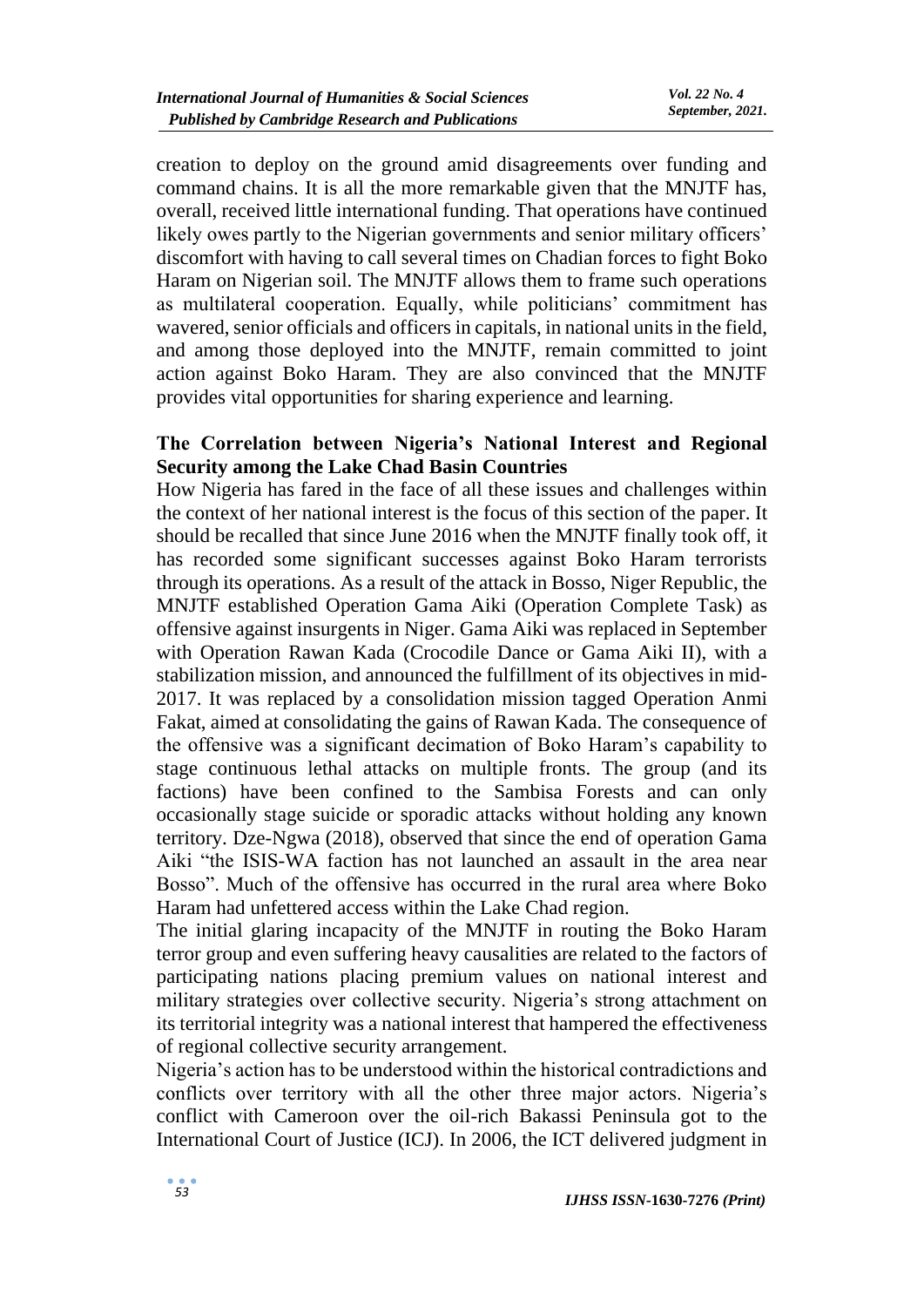creation to deploy on the ground amid disagreements over funding and command chains. It is all the more remarkable given that the MNJTF has, overall, received little international funding. That operations have continued likely owes partly to the Nigerian governments and senior military officers' discomfort with having to call several times on Chadian forces to fight Boko Haram on Nigerian soil. The MNJTF allows them to frame such operations as multilateral cooperation. Equally, while politicians' commitment has wavered, senior officials and officers in capitals, in national units in the field, and among those deployed into the MNJTF, remain committed to joint action against Boko Haram. They are also convinced that the MNJTF provides vital opportunities for sharing experience and learning.

#### **The Correlation between Nigeria's National Interest and Regional Security among the Lake Chad Basin Countries**

How Nigeria has fared in the face of all these issues and challenges within the context of her national interest is the focus of this section of the paper. It should be recalled that since June 2016 when the MNJTF finally took off, it has recorded some significant successes against Boko Haram terrorists through its operations. As a result of the attack in Bosso, Niger Republic, the MNJTF established Operation Gama Aiki (Operation Complete Task) as offensive against insurgents in Niger. Gama Aiki was replaced in September with Operation Rawan Kada (Crocodile Dance or Gama Aiki II), with a stabilization mission, and announced the fulfillment of its objectives in mid-2017. It was replaced by a consolidation mission tagged Operation Anmi Fakat, aimed at consolidating the gains of Rawan Kada. The consequence of the offensive was a significant decimation of Boko Haram's capability to stage continuous lethal attacks on multiple fronts. The group (and its factions) have been confined to the Sambisa Forests and can only occasionally stage suicide or sporadic attacks without holding any known territory. Dze-Ngwa (2018), observed that since the end of operation Gama Aiki "the ISIS-WA faction has not launched an assault in the area near Bosso". Much of the offensive has occurred in the rural area where Boko Haram had unfettered access within the Lake Chad region.

The initial glaring incapacity of the MNJTF in routing the Boko Haram terror group and even suffering heavy causalities are related to the factors of participating nations placing premium values on national interest and military strategies over collective security. Nigeria's strong attachment on its territorial integrity was a national interest that hampered the effectiveness of regional collective security arrangement.

Nigeria's action has to be understood within the historical contradictions and conflicts over territory with all the other three major actors. Nigeria's conflict with Cameroon over the oil-rich Bakassi Peninsula got to the International Court of Justice (ICJ). In 2006, the ICT delivered judgment in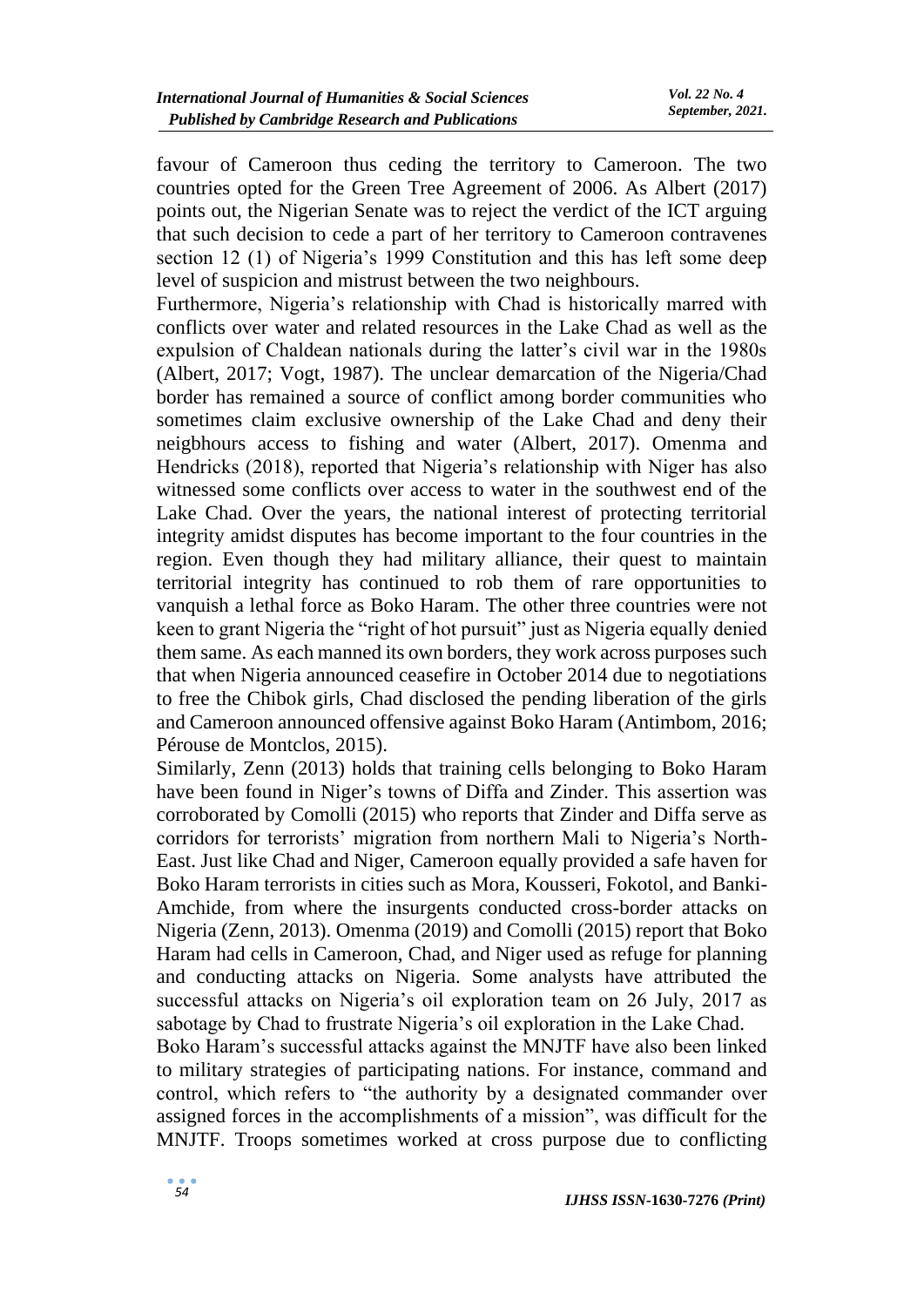favour of Cameroon thus ceding the territory to Cameroon. The two countries opted for the Green Tree Agreement of 2006. As Albert (2017) points out, the Nigerian Senate was to reject the verdict of the ICT arguing that such decision to cede a part of her territory to Cameroon contravenes section 12 (1) of Nigeria's 1999 Constitution and this has left some deep level of suspicion and mistrust between the two neighbours.

Furthermore, Nigeria's relationship with Chad is historically marred with conflicts over water and related resources in the Lake Chad as well as the expulsion of Chaldean nationals during the latter's civil war in the 1980s (Albert, 2017; Vogt, 1987). The unclear demarcation of the Nigeria/Chad border has remained a source of conflict among border communities who sometimes claim exclusive ownership of the Lake Chad and deny their neigbhours access to fishing and water (Albert, 2017). Omenma and Hendricks (2018), reported that Nigeria's relationship with Niger has also witnessed some conflicts over access to water in the southwest end of the Lake Chad. Over the years, the national interest of protecting territorial integrity amidst disputes has become important to the four countries in the region. Even though they had military alliance, their quest to maintain territorial integrity has continued to rob them of rare opportunities to vanquish a lethal force as Boko Haram. The other three countries were not keen to grant Nigeria the "right of hot pursuit" just as Nigeria equally denied them same. As each manned its own borders, they work across purposes such that when Nigeria announced ceasefire in October 2014 due to negotiations to free the Chibok girls, Chad disclosed the pending liberation of the girls and Cameroon announced offensive against Boko Haram (Antimbom, 2016; Pérouse de Montclos, 2015).

Similarly, Zenn (2013) holds that training cells belonging to Boko Haram have been found in Niger's towns of Diffa and Zinder. This assertion was corroborated by Comolli (2015) who reports that Zinder and Diffa serve as corridors for terrorists' migration from northern Mali to Nigeria's North-East. Just like Chad and Niger, Cameroon equally provided a safe haven for Boko Haram terrorists in cities such as Mora, Kousseri, Fokotol, and Banki-Amchide, from where the insurgents conducted cross-border attacks on Nigeria (Zenn, 2013). Omenma (2019) and Comolli (2015) report that Boko Haram had cells in Cameroon, Chad, and Niger used as refuge for planning and conducting attacks on Nigeria. Some analysts have attributed the successful attacks on Nigeria's oil exploration team on 26 July, 2017 as sabotage by Chad to frustrate Nigeria's oil exploration in the Lake Chad.

Boko Haram's successful attacks against the MNJTF have also been linked to military strategies of participating nations. For instance, command and control, which refers to "the authority by a designated commander over assigned forces in the accomplishments of a mission", was difficult for the MNJTF. Troops sometimes worked at cross purpose due to conflicting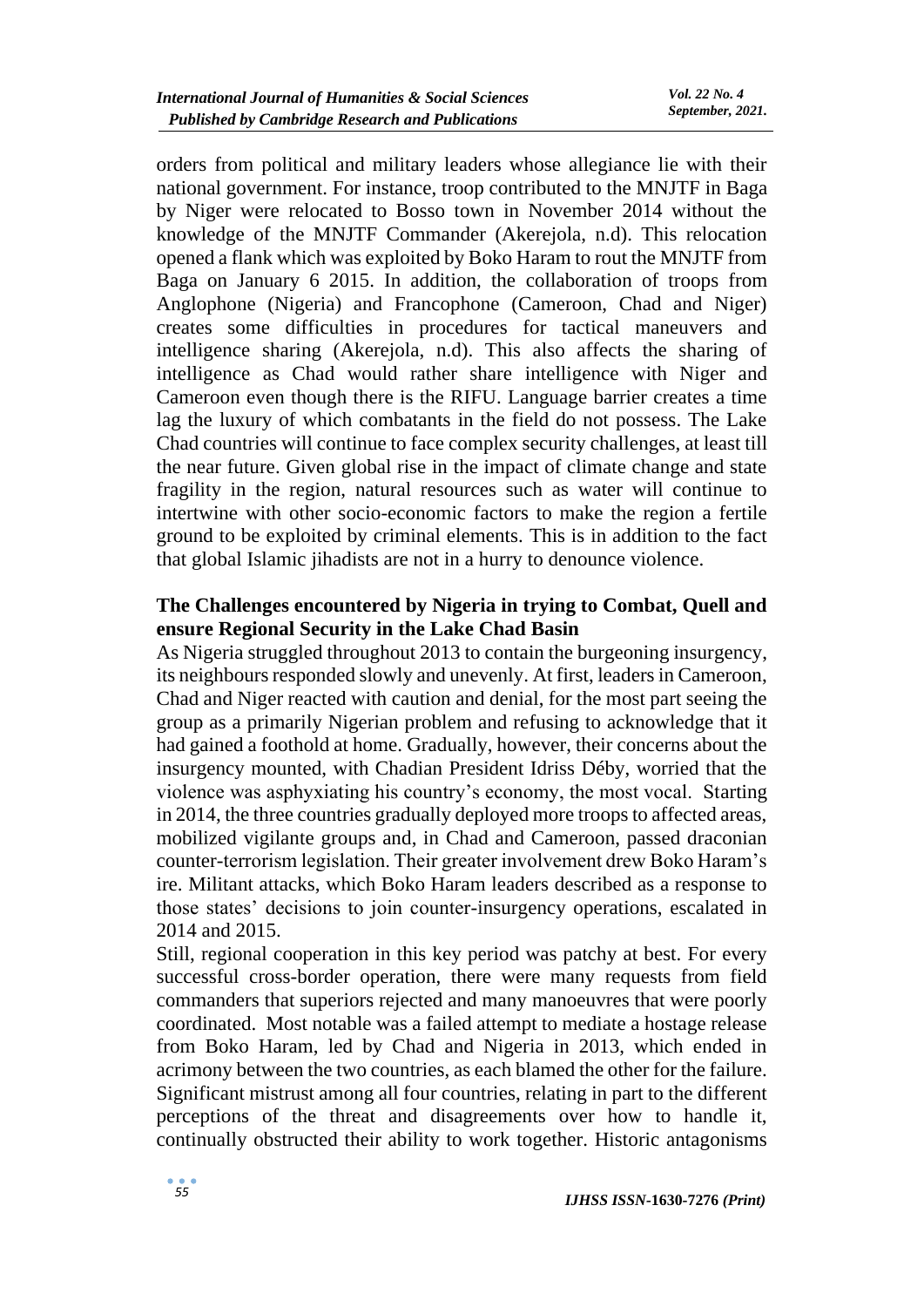orders from political and military leaders whose allegiance lie with their national government. For instance, troop contributed to the MNJTF in Baga by Niger were relocated to Bosso town in November 2014 without the knowledge of the MNJTF Commander (Akerejola, n.d). This relocation opened a flank which was exploited by Boko Haram to rout the MNJTF from Baga on January 6 2015. In addition, the collaboration of troops from Anglophone (Nigeria) and Francophone (Cameroon, Chad and Niger) creates some difficulties in procedures for tactical maneuvers and intelligence sharing (Akerejola, n.d). This also affects the sharing of intelligence as Chad would rather share intelligence with Niger and Cameroon even though there is the RIFU. Language barrier creates a time lag the luxury of which combatants in the field do not possess. The Lake Chad countries will continue to face complex security challenges, at least till the near future. Given global rise in the impact of climate change and state fragility in the region, natural resources such as water will continue to intertwine with other socio-economic factors to make the region a fertile ground to be exploited by criminal elements. This is in addition to the fact that global Islamic jihadists are not in a hurry to denounce violence.

# **The Challenges encountered by Nigeria in trying to Combat, Quell and ensure Regional Security in the Lake Chad Basin**

As Nigeria struggled throughout 2013 to contain the burgeoning insurgency, its neighbours responded slowly and unevenly. At first, leaders in Cameroon, Chad and Niger reacted with caution and denial, for the most part seeing the group as a primarily Nigerian problem and refusing to acknowledge that it had gained a foothold at home. Gradually, however, their concerns about the insurgency mounted, with Chadian President Idriss Déby, worried that the violence was asphyxiating his country's economy, the most vocal. Starting in 2014, the three countries gradually deployed more troops to affected areas, mobilized vigilante groups and, in Chad and Cameroon, passed draconian counter-terrorism legislation. Their greater involvement drew Boko Haram's ire. Militant attacks, which Boko Haram leaders described as a response to those states' decisions to join counter-insurgency operations, escalated in 2014 and 2015.

Still, regional cooperation in this key period was patchy at best. For every successful cross-border operation, there were many requests from field commanders that superiors rejected and many manoeuvres that were poorly coordinated. Most notable was a failed attempt to mediate a hostage release from Boko Haram, led by Chad and Nigeria in 2013, which ended in acrimony between the two countries, as each blamed the other for the failure. Significant mistrust among all four countries, relating in part to the different perceptions of the threat and disagreements over how to handle it, continually obstructed their ability to work together. Historic antagonisms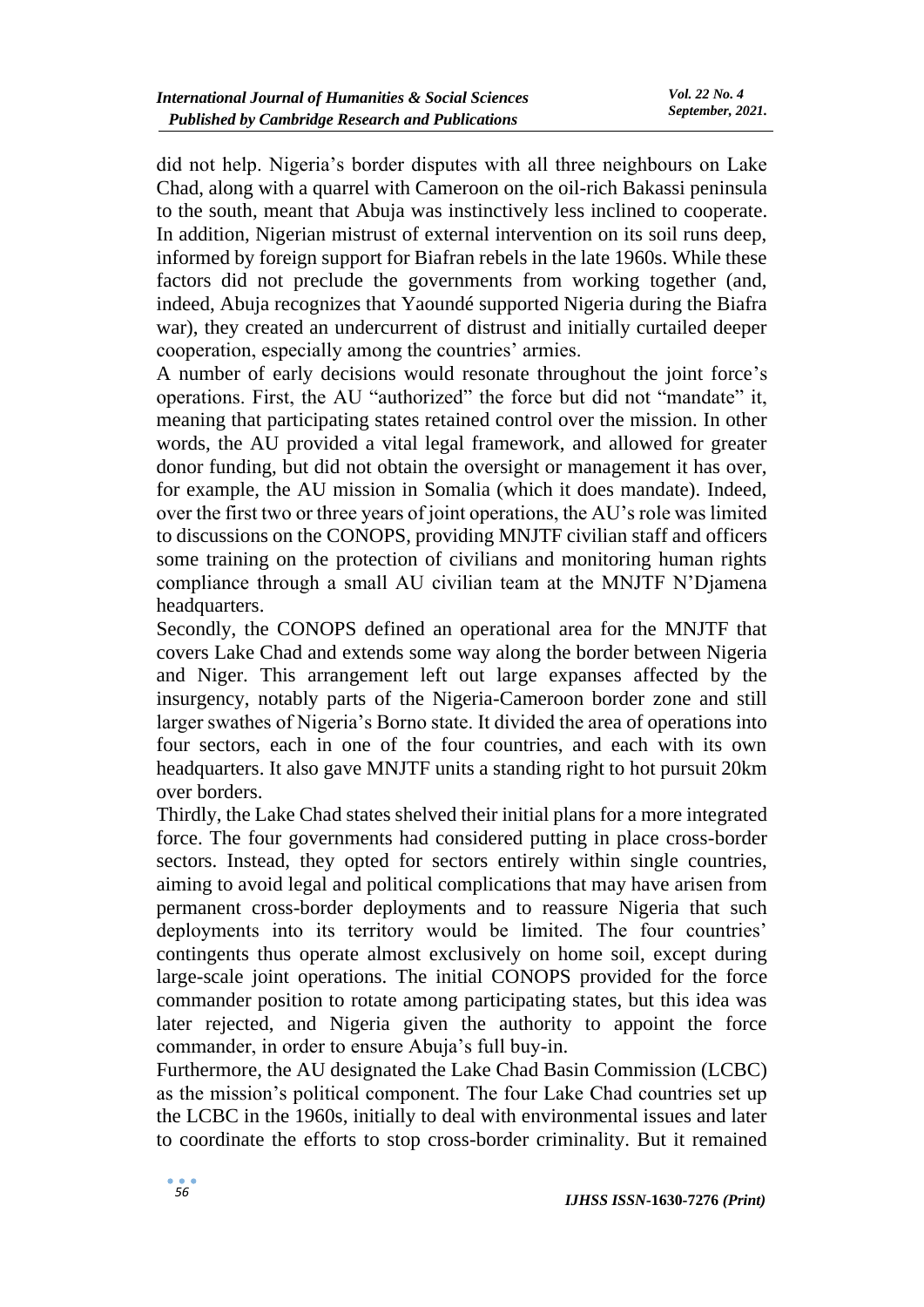did not help. Nigeria's border disputes with all three neighbours on Lake Chad, along with a quarrel with Cameroon on the oil-rich Bakassi peninsula to the south, meant that Abuja was instinctively less inclined to cooperate. In addition, Nigerian mistrust of external intervention on its soil runs deep, informed by foreign support for Biafran rebels in the late 1960s. While these factors did not preclude the governments from working together (and, indeed, Abuja recognizes that Yaoundé supported Nigeria during the Biafra war), they created an undercurrent of distrust and initially curtailed deeper cooperation, especially among the countries' armies.

A number of early decisions would resonate throughout the joint force's operations. First, the AU "authorized" the force but did not "mandate" it, meaning that participating states retained control over the mission. In other words, the AU provided a vital legal framework, and allowed for greater donor funding, but did not obtain the oversight or management it has over, for example, the AU mission in Somalia (which it does mandate). Indeed, over the first two or three years of joint operations, the AU's role was limited to discussions on the CONOPS, providing MNJTF civilian staff and officers some training on the protection of civilians and monitoring human rights compliance through a small AU civilian team at the MNJTF N'Djamena headquarters.

Secondly, the CONOPS defined an operational area for the MNJTF that covers Lake Chad and extends some way along the border between Nigeria and Niger. This arrangement left out large expanses affected by the insurgency, notably parts of the Nigeria-Cameroon border zone and still larger swathes of Nigeria's Borno state. It divided the area of operations into four sectors, each in one of the four countries, and each with its own headquarters. It also gave MNJTF units a standing right to hot pursuit 20km over borders.

Thirdly, the Lake Chad states shelved their initial plans for a more integrated force. The four governments had considered putting in place cross-border sectors. Instead, they opted for sectors entirely within single countries, aiming to avoid legal and political complications that may have arisen from permanent cross-border deployments and to reassure Nigeria that such deployments into its territory would be limited. The four countries' contingents thus operate almost exclusively on home soil, except during large-scale joint operations. The initial CONOPS provided for the force commander position to rotate among participating states, but this idea was later rejected, and Nigeria given the authority to appoint the force commander, in order to ensure Abuja's full buy-in.

Furthermore, the AU designated the Lake Chad Basin Commission (LCBC) as the mission's political component. The four Lake Chad countries set up the LCBC in the 1960s, initially to deal with environmental issues and later to coordinate the efforts to stop cross-border criminality. But it remained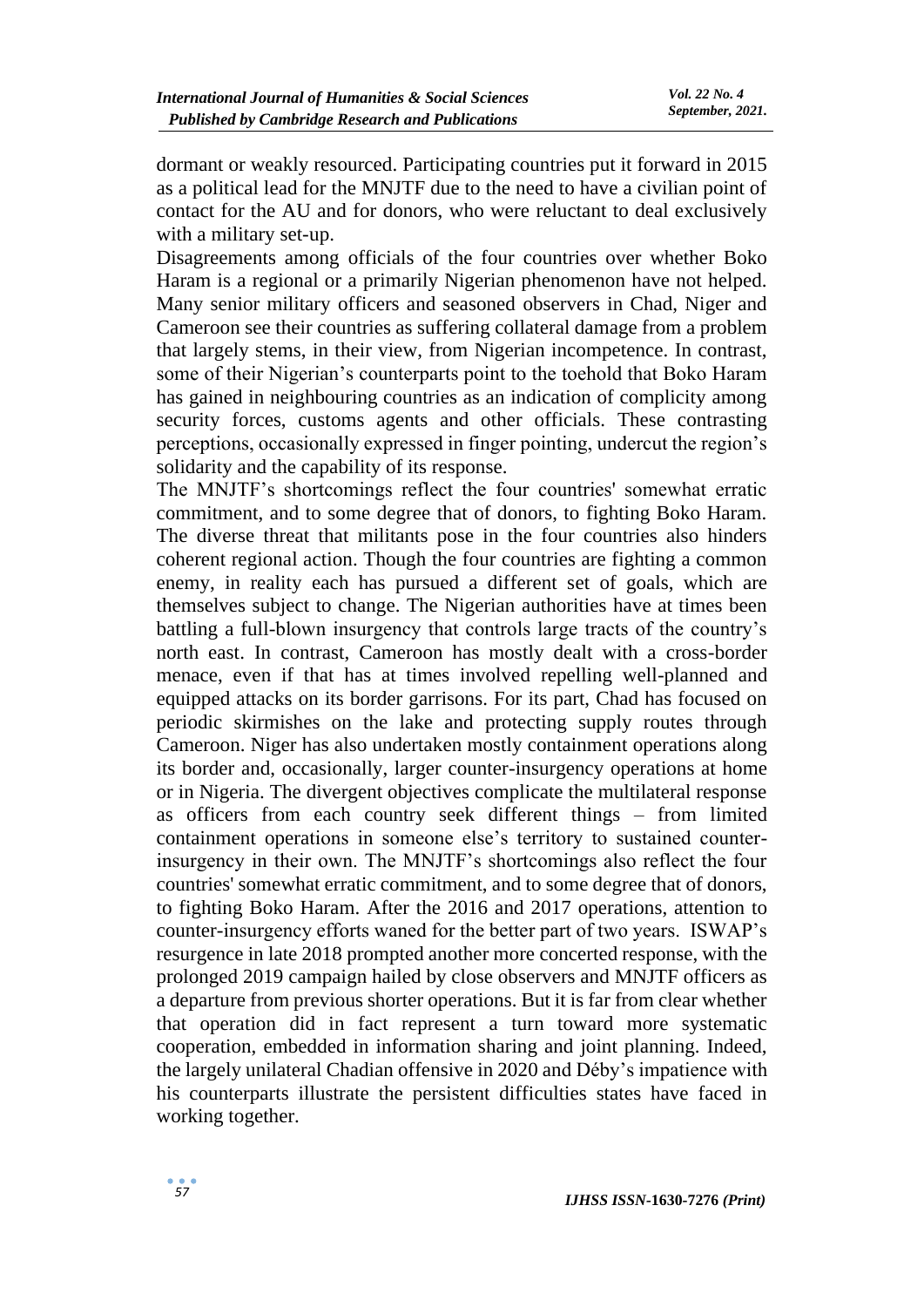dormant or weakly resourced. Participating countries put it forward in 2015 as a political lead for the MNJTF due to the need to have a civilian point of contact for the AU and for donors, who were reluctant to deal exclusively with a military set-up.

Disagreements among officials of the four countries over whether Boko Haram is a regional or a primarily Nigerian phenomenon have not helped. Many senior military officers and seasoned observers in Chad, Niger and Cameroon see their countries as suffering collateral damage from a problem that largely stems, in their view, from Nigerian incompetence. In contrast, some of their Nigerian's counterparts point to the toehold that Boko Haram has gained in neighbouring countries as an indication of complicity among security forces, customs agents and other officials. These contrasting perceptions, occasionally expressed in finger pointing, undercut the region's solidarity and the capability of its response.

The MNJTF's shortcomings reflect the four countries' somewhat erratic commitment, and to some degree that of donors, to fighting Boko Haram. The diverse threat that militants pose in the four countries also hinders coherent regional action. Though the four countries are fighting a common enemy, in reality each has pursued a different set of goals, which are themselves subject to change. The Nigerian authorities have at times been battling a full-blown insurgency that controls large tracts of the country's north east. In contrast, Cameroon has mostly dealt with a cross-border menace, even if that has at times involved repelling well-planned and equipped attacks on its border garrisons. For its part, Chad has focused on periodic skirmishes on the lake and protecting supply routes through Cameroon. Niger has also undertaken mostly containment operations along its border and, occasionally, larger counter-insurgency operations at home or in Nigeria. The divergent objectives complicate the multilateral response as officers from each country seek different things – from limited containment operations in someone else's territory to sustained counterinsurgency in their own. The MNJTF's shortcomings also reflect the four countries' somewhat erratic commitment, and to some degree that of donors, to fighting Boko Haram. After the 2016 and 2017 operations, attention to counter-insurgency efforts waned for the better part of two years. ISWAP's resurgence in late 2018 prompted another more concerted response, with the prolonged 2019 campaign hailed by close observers and MNJTF officers as a departure from previous shorter operations. But it is far from clear whether that operation did in fact represent a turn toward more systematic cooperation, embedded in information sharing and joint planning. Indeed, the largely unilateral Chadian offensive in 2020 and Déby's impatience with his counterparts illustrate the persistent difficulties states have faced in working together.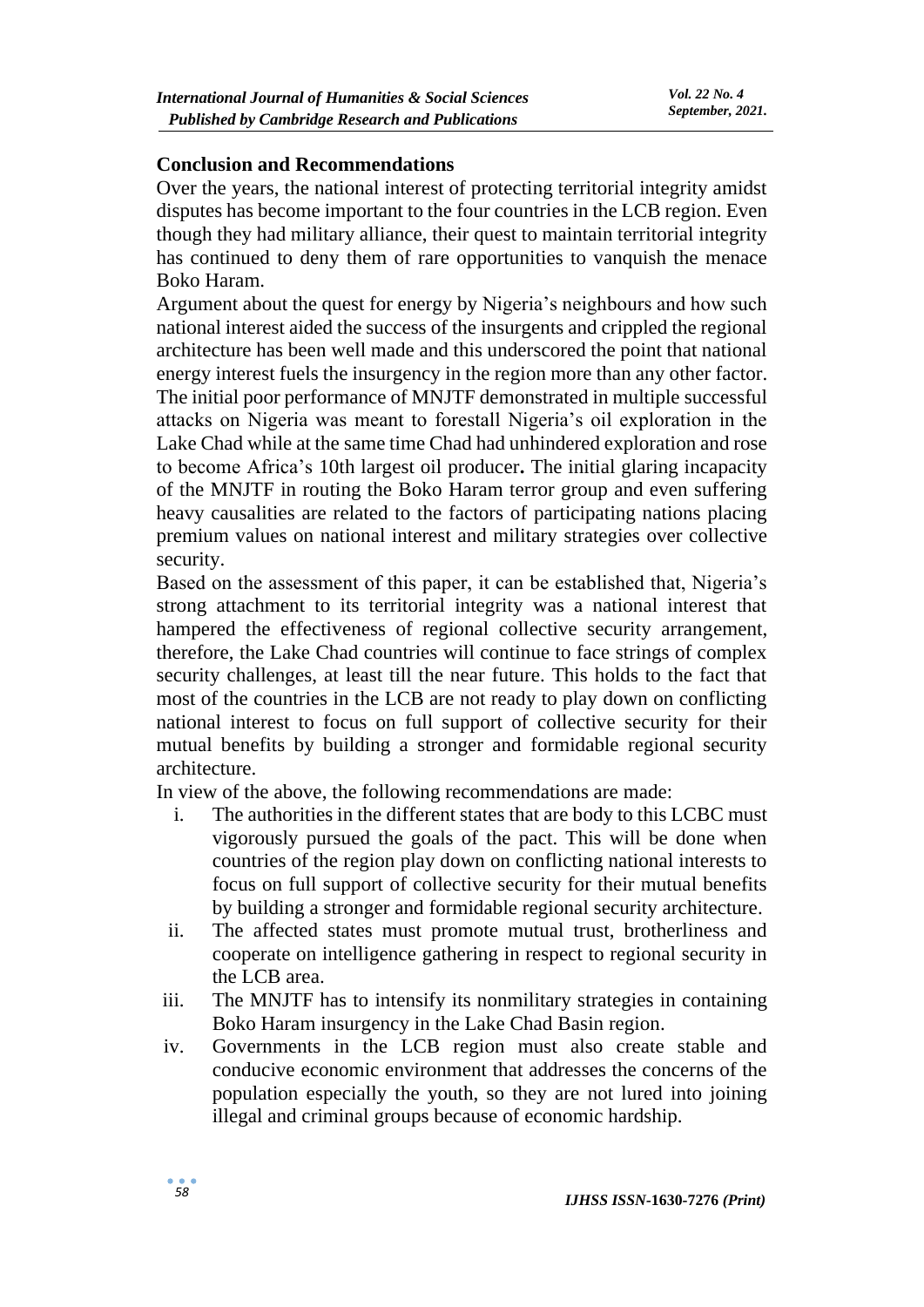#### **Conclusion and Recommendations**

Over the years, the national interest of protecting territorial integrity amidst disputes has become important to the four countries in the LCB region. Even though they had military alliance, their quest to maintain territorial integrity has continued to deny them of rare opportunities to vanquish the menace Boko Haram.

Argument about the quest for energy by Nigeria's neighbours and how such national interest aided the success of the insurgents and crippled the regional architecture has been well made and this underscored the point that national energy interest fuels the insurgency in the region more than any other factor. The initial poor performance of MNJTF demonstrated in multiple successful attacks on Nigeria was meant to forestall Nigeria's oil exploration in the Lake Chad while at the same time Chad had unhindered exploration and rose to become Africa's 10th largest oil producer**.** The initial glaring incapacity of the MNJTF in routing the Boko Haram terror group and even suffering heavy causalities are related to the factors of participating nations placing premium values on national interest and military strategies over collective security.

Based on the assessment of this paper, it can be established that, Nigeria's strong attachment to its territorial integrity was a national interest that hampered the effectiveness of regional collective security arrangement, therefore, the Lake Chad countries will continue to face strings of complex security challenges, at least till the near future. This holds to the fact that most of the countries in the LCB are not ready to play down on conflicting national interest to focus on full support of collective security for their mutual benefits by building a stronger and formidable regional security architecture.

In view of the above, the following recommendations are made:

- i. The authorities in the different states that are body to this LCBC must vigorously pursued the goals of the pact. This will be done when countries of the region play down on conflicting national interests to focus on full support of collective security for their mutual benefits by building a stronger and formidable regional security architecture.
- ii. The affected states must promote mutual trust, brotherliness and cooperate on intelligence gathering in respect to regional security in the LCB area.
- iii. The MNJTF has to intensify its nonmilitary strategies in containing Boko Haram insurgency in the Lake Chad Basin region.
- iv. Governments in the LCB region must also create stable and conducive economic environment that addresses the concerns of the population especially the youth, so they are not lured into joining illegal and criminal groups because of economic hardship.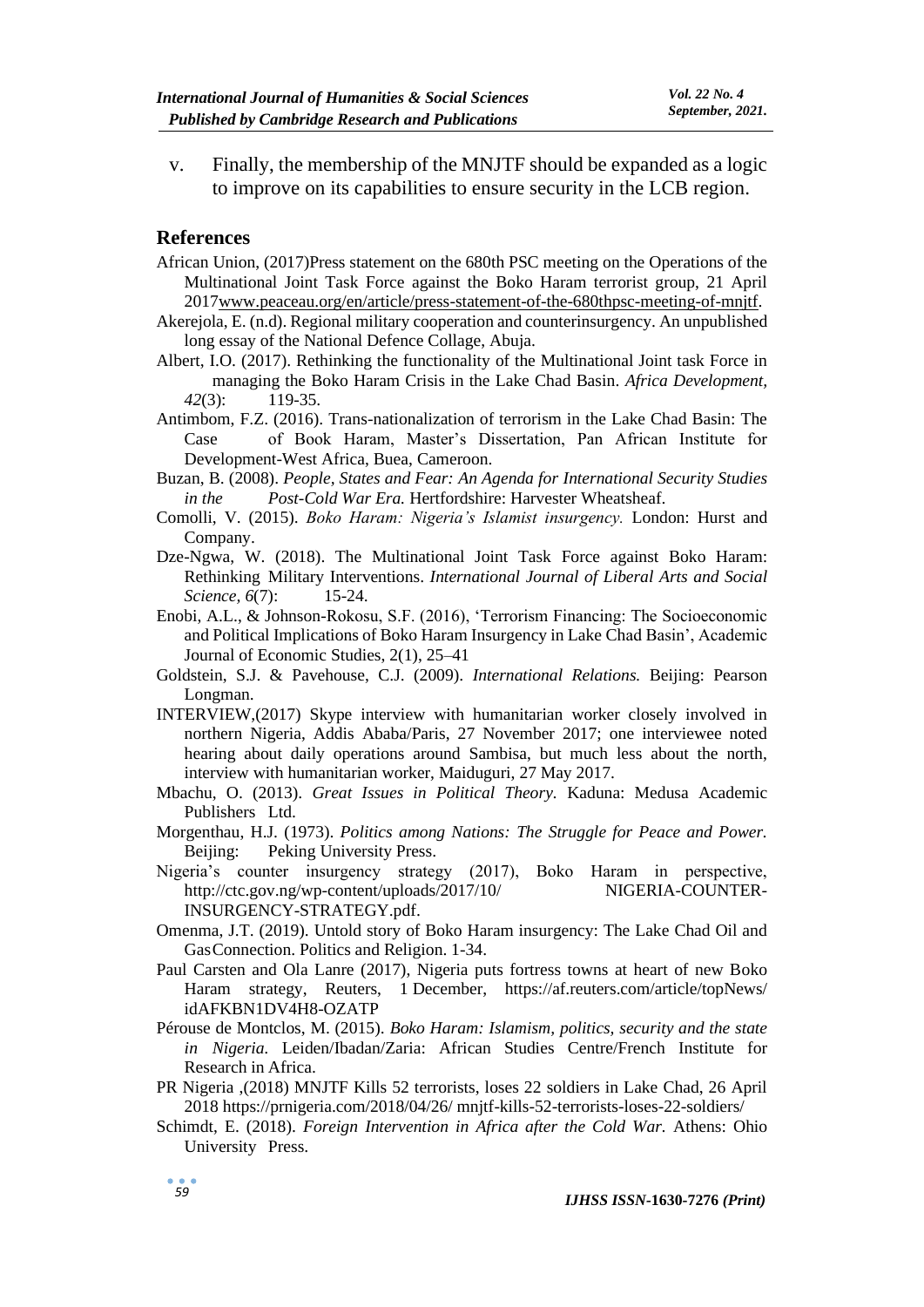v. Finally, the membership of the MNJTF should be expanded as a logic to improve on its capabilities to ensure security in the LCB region.

#### **References**

- African Union, (2017)Press statement on the 680th PSC meeting on the Operations of the Multinational Joint Task Force against the Boko Haram terrorist group, 21 April 201[7www.peaceau.org/en/article/press-statement-of-the-680thpsc-meeting-of-mnjtf.](http://www.peaceau.org/en/article/press-statement-of-the-680thpsc-meeting-of-mnjtf)
- Akerejola, E. (n.d). Regional military cooperation and counterinsurgency. An unpublished long essay of the National Defence Collage, Abuja.
- Albert, I.O. (2017). Rethinking the functionality of the Multinational Joint task Force in managing the Boko Haram Crisis in the Lake Chad Basin. *Africa Development, 42*(3): 119-35.
- Antimbom, F.Z. (2016). Trans-nationalization of terrorism in the Lake Chad Basin: The Case of Book Haram, Master's Dissertation, Pan African Institute for Development-West Africa, Buea, Cameroon.
- Buzan, B. (2008). *People, States and Fear: An Agenda for International Security Studies in the Post-Cold War Era.* Hertfordshire: Harvester Wheatsheaf.
- Comolli, V. (2015). *Boko Haram: Nigeria's Islamist insurgency.* London: Hurst and Company.
- Dze-Ngwa, W. (2018). The Multinational Joint Task Force against Boko Haram: Rethinking Military Interventions. *International Journal of Liberal Arts and Social Science, 6*(7): 15-24.
- Enobi, A.L., & Johnson-Rokosu, S.F. (2016), 'Terrorism Financing: The Socioeconomic and Political Implications of Boko Haram Insurgency in Lake Chad Basin', Academic Journal of Economic Studies, 2(1), 25–41
- Goldstein, S.J. & Pavehouse, C.J. (2009). *International Relations.* Beijing: Pearson Longman.
- INTERVIEW,(2017) Skype interview with humanitarian worker closely involved in northern Nigeria, Addis Ababa/Paris, 27 November 2017; one interviewee noted hearing about daily operations around Sambisa, but much less about the north, interview with humanitarian worker, Maiduguri, 27 May 2017.
- Mbachu, O. (2013). *Great Issues in Political Theory.* Kaduna: Medusa Academic Publishers Ltd.
- Morgenthau, H.J. (1973). *Politics among Nations: The Struggle for Peace and Power.*  Beijing: Peking University Press.
- Nigeria's counter insurgency strategy (2017), Boko Haram in perspective, http://ctc.gov.ng/wp-content/uploads/2017/10/ NIGERIA-COUNTER-INSURGENCY-STRATEGY.pdf.
- Omenma, J.T. (2019). Untold story of Boko Haram insurgency: The Lake Chad Oil and GasConnection. Politics and Religion. 1-34.
- Paul Carsten and Ola Lanre (2017), Nigeria puts fortress towns at heart of new Boko Haram strategy, Reuters, 1 December, https://af.reuters.com/article/topNews/ idAFKBN1DV4H8-OZATP
- Pérouse de Montclos, M. (2015). *Boko Haram: Islamism, politics, security and the state in Nigeria.* Leiden/Ibadan/Zaria: African Studies Centre/French Institute for Research in Africa.
- PR Nigeria ,(2018) MNJTF Kills 52 terrorists, loses 22 soldiers in Lake Chad, 26 April 2018 https://prnigeria.com/2018/04/26/ mnjtf-kills-52-terrorists-loses-22-soldiers/
- Schimdt, E. (2018). *Foreign Intervention in Africa after the Cold War.* Athens: Ohio University Press.